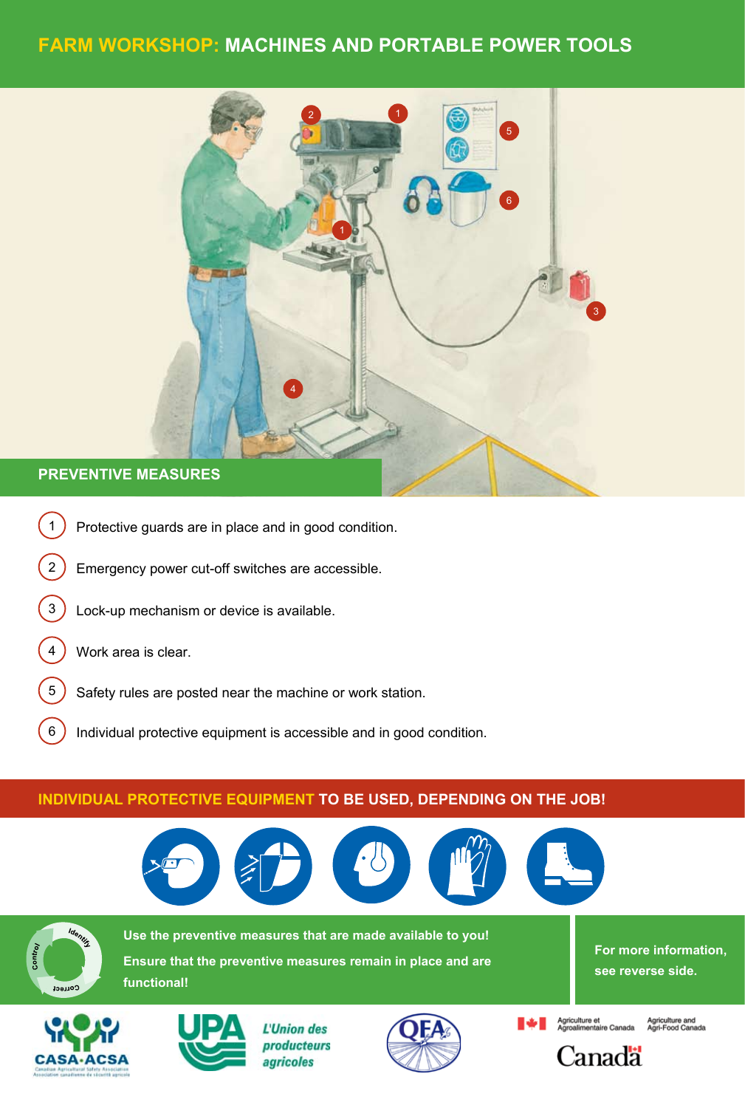## **Farm Workshop: machines and portable power tools**



## **Preventive measures**

- 1) Protective guards are in place and in good condition.
- 2) Emergency power cut-off switches are accessible.
- 3) Lock-up mechanism or device is available.

tablier

4 ) Work area is clear.

tablier

- 5) Safety rules are posted near the machine or work station.
- 6) Individual protective equipment is accessible and in good condition.

## **INDIVIDUAL PROTECTIVE EQUIPMENT TO BE USED, DEPENDING ON THE JOB!**

botte lunette



botte lunette



**Example 5 Use the preventive measures that are made available to you! Ensure that the preventive measures remain in place and are functional!**

**For more information, see reverse side.**





L'Union des producteurs agricoles